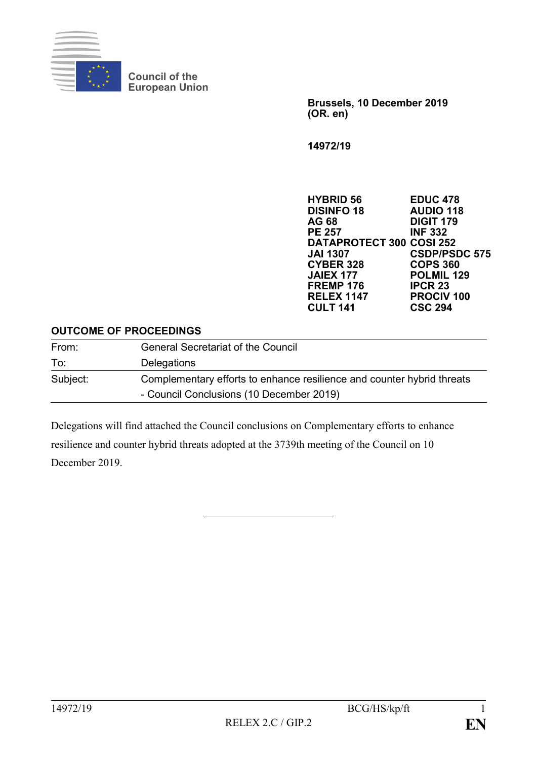

**Council of the European Union**

> **Brussels, 10 December 2019 (OR. en)**

**14972/19**

**HYBRID 56 EDUC 478 DISINFO 18 AUDIO 118 AG 68 DIGIT 179 PE 257 INF 332 DATAPROTECT 300 COSI 252 JAI 1307 CSDP/PSDC 575 CYBER 328<br>JAIEX 177 POLMIL 129**<br>**IPCR 23 FREMP 176 RELEX 1147 PROCIV 100 CULT 141 CSC 294**

#### **OUTCOME OF PROCEEDINGS**

| From:    | <b>General Secretariat of the Council</b>                              |
|----------|------------------------------------------------------------------------|
| To:      | Delegations                                                            |
| Subject: | Complementary efforts to enhance resilience and counter hybrid threats |
|          | - Council Conclusions (10 December 2019)                               |

Delegations will find attached the Council conclusions on Complementary efforts to enhance resilience and counter hybrid threats adopted at the 3739th meeting of the Council on 10 December 2019.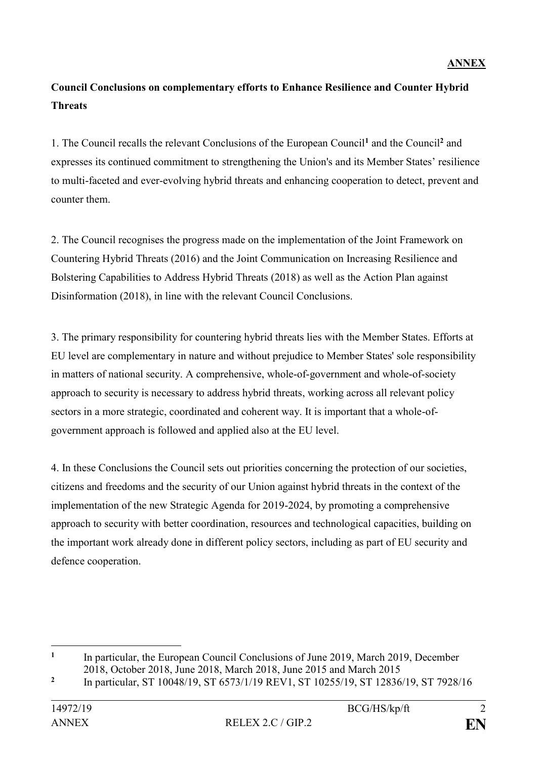# **Council Conclusions on complementary efforts to Enhance Resilience and Counter Hybrid Threats**

1. The Council recalls the relevant Conclusions of the European Council**<sup>1</sup>** and the Council**<sup>2</sup>** and expresses its continued commitment to strengthening the Union's and its Member States' resilience to multi-faceted and ever-evolving hybrid threats and enhancing cooperation to detect, prevent and counter them.

2. The Council recognises the progress made on the implementation of the Joint Framework on Countering Hybrid Threats (2016) and the Joint Communication on Increasing Resilience and Bolstering Capabilities to Address Hybrid Threats (2018) as well as the Action Plan against Disinformation (2018), in line with the relevant Council Conclusions.

3. The primary responsibility for countering hybrid threats lies with the Member States. Efforts at EU level are complementary in nature and without prejudice to Member States' sole responsibility in matters of national security. A comprehensive, whole-of-government and whole-of-society approach to security is necessary to address hybrid threats, working across all relevant policy sectors in a more strategic, coordinated and coherent way. It is important that a whole-ofgovernment approach is followed and applied also at the EU level.

4. In these Conclusions the Council sets out priorities concerning the protection of our societies, citizens and freedoms and the security of our Union against hybrid threats in the context of the implementation of the new Strategic Agenda for 2019-2024, by promoting a comprehensive approach to security with better coordination, resources and technological capacities, building on the important work already done in different policy sectors, including as part of EU security and defence cooperation.

<u>.</u>

**<sup>1</sup>** In particular, the European Council Conclusions of June 2019, March 2019, December 2018, October 2018, June 2018, March 2018, June 2015 and March 2015

**<sup>2</sup>** In particular, ST 10048/19, ST 6573/1/19 REV1, ST 10255/19, ST 12836/19, ST 7928/16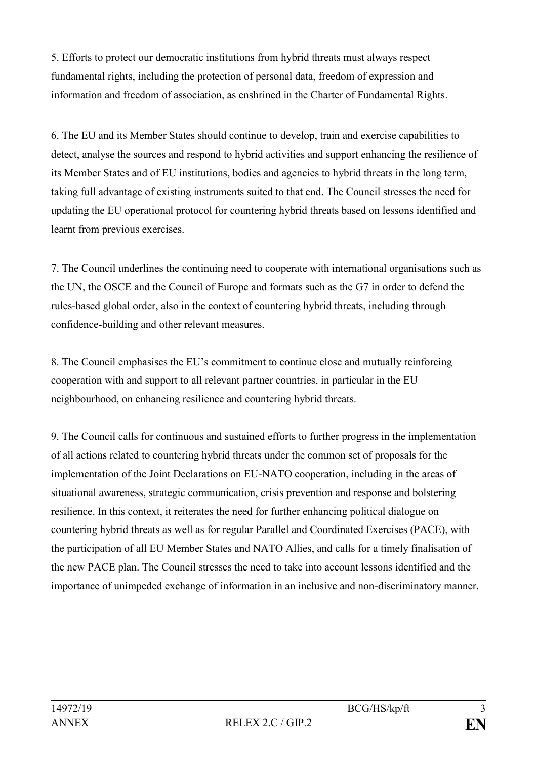5. Efforts to protect our democratic institutions from hybrid threats must always respect fundamental rights, including the protection of personal data, freedom of expression and information and freedom of association, as enshrined in the Charter of Fundamental Rights.

6. The EU and its Member States should continue to develop, train and exercise capabilities to detect, analyse the sources and respond to hybrid activities and support enhancing the resilience of its Member States and of EU institutions, bodies and agencies to hybrid threats in the long term, taking full advantage of existing instruments suited to that end. The Council stresses the need for updating the EU operational protocol for countering hybrid threats based on lessons identified and learnt from previous exercises.

7. The Council underlines the continuing need to cooperate with international organisations such as the UN, the OSCE and the Council of Europe and formats such as the G7 in order to defend the rules-based global order, also in the context of countering hybrid threats, including through confidence-building and other relevant measures.

8. The Council emphasises the EU's commitment to continue close and mutually reinforcing cooperation with and support to all relevant partner countries, in particular in the EU neighbourhood, on enhancing resilience and countering hybrid threats.

9. The Council calls for continuous and sustained efforts to further progress in the implementation of all actions related to countering hybrid threats under the common set of proposals for the implementation of the Joint Declarations on EU-NATO cooperation, including in the areas of situational awareness, strategic communication, crisis prevention and response and bolstering resilience. In this context, it reiterates the need for further enhancing political dialogue on countering hybrid threats as well as for regular Parallel and Coordinated Exercises (PACE), with the participation of all EU Member States and NATO Allies, and calls for a timely finalisation of the new PACE plan. The Council stresses the need to take into account lessons identified and the importance of unimpeded exchange of information in an inclusive and non-discriminatory manner.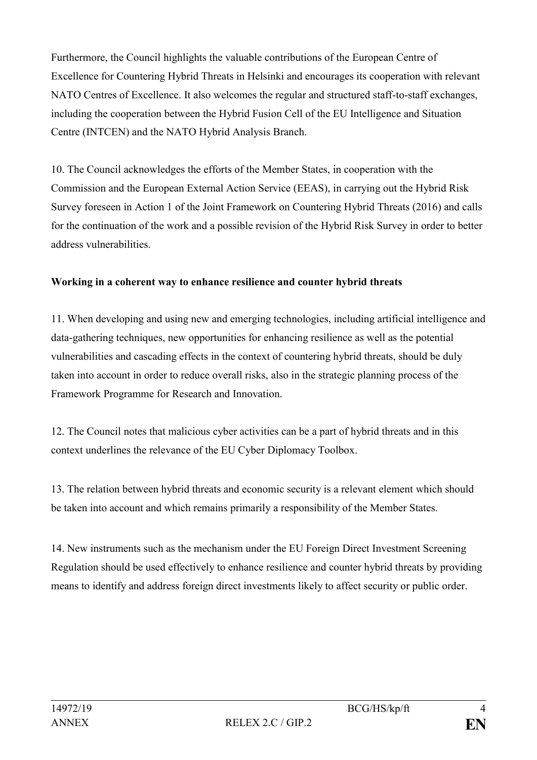Furthermore, the Council highlights the valuable contributions of the European Centre of Excellence for Countering Hybrid Threats in Helsinki and encourages its cooperation with relevant NATO Centres of Excellence. It also welcomes the regular and structured staff-to-staff exchanges, including the cooperation between the Hybrid Fusion Cell of the EU Intelligence and Situation Centre (INTCEN) and the NATO Hybrid Analysis Branch.

10. The Council acknowledges the efforts of the Member States, in cooperation with the Commission and the European External Action Service (EEAS), in carrying out the Hybrid Risk Survey foreseen in Action 1 of the Joint Framework on Countering Hybrid Threats (2016) and calls for the continuation of the work and a possible revision of the Hybrid Risk Survey in order to better address vulnerabilities.

# **Working in a coherent way to enhance resilience and counter hybrid threats**

11. When developing and using new and emerging technologies, including artificial intelligence and data-gathering techniques, new opportunities for enhancing resilience as well as the potential vulnerabilities and cascading effects in the context of countering hybrid threats, should be duly taken into account in order to reduce overall risks, also in the strategic planning process of the Framework Programme for Research and Innovation.

12. The Council notes that malicious cyber activities can be a part of hybrid threats and in this context underlines the relevance of the EU Cyber Diplomacy Toolbox.

13. The relation between hybrid threats and economic security is a relevant element which should be taken into account and which remains primarily a responsibility of the Member States.

14. New instruments such as the mechanism under the EU Foreign Direct Investment Screening Regulation should be used effectively to enhance resilience and counter hybrid threats by providing means to identify and address foreign direct investments likely to affect security or public order.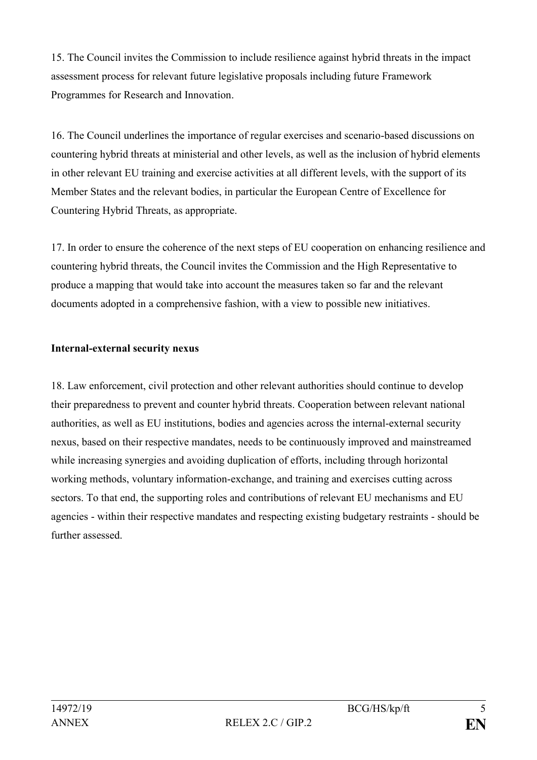15. The Council invites the Commission to include resilience against hybrid threats in the impact assessment process for relevant future legislative proposals including future Framework Programmes for Research and Innovation.

16. The Council underlines the importance of regular exercises and scenario-based discussions on countering hybrid threats at ministerial and other levels, as well as the inclusion of hybrid elements in other relevant EU training and exercise activities at all different levels, with the support of its Member States and the relevant bodies, in particular the European Centre of Excellence for Countering Hybrid Threats, as appropriate.

17. In order to ensure the coherence of the next steps of EU cooperation on enhancing resilience and countering hybrid threats, the Council invites the Commission and the High Representative to produce a mapping that would take into account the measures taken so far and the relevant documents adopted in a comprehensive fashion, with a view to possible new initiatives.

# **Internal-external security nexus**

18. Law enforcement, civil protection and other relevant authorities should continue to develop their preparedness to prevent and counter hybrid threats. Cooperation between relevant national authorities, as well as EU institutions, bodies and agencies across the internal-external security nexus, based on their respective mandates, needs to be continuously improved and mainstreamed while increasing synergies and avoiding duplication of efforts, including through horizontal working methods, voluntary information-exchange, and training and exercises cutting across sectors. To that end, the supporting roles and contributions of relevant EU mechanisms and EU agencies - within their respective mandates and respecting existing budgetary restraints - should be further assessed.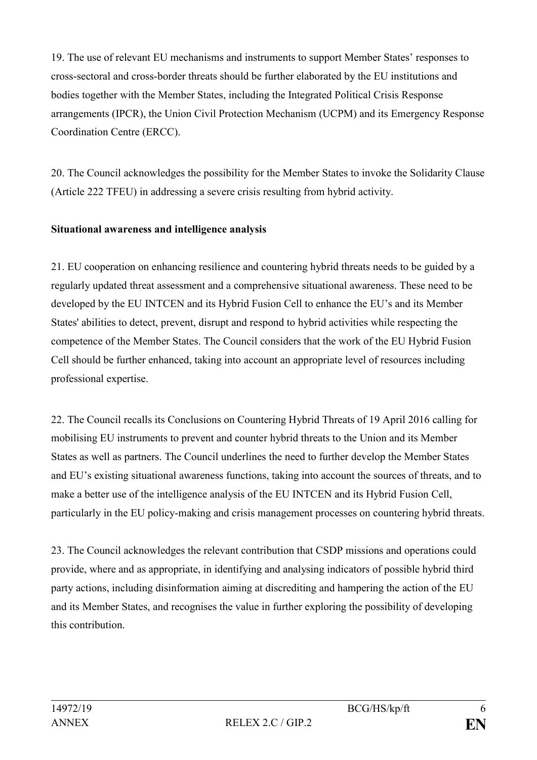19. The use of relevant EU mechanisms and instruments to support Member States' responses to cross-sectoral and cross-border threats should be further elaborated by the EU institutions and bodies together with the Member States, including the Integrated Political Crisis Response arrangements (IPCR), the Union Civil Protection Mechanism (UCPM) and its Emergency Response Coordination Centre (ERCC).

20. The Council acknowledges the possibility for the Member States to invoke the Solidarity Clause (Article 222 TFEU) in addressing a severe crisis resulting from hybrid activity.

## **Situational awareness and intelligence analysis**

21. EU cooperation on enhancing resilience and countering hybrid threats needs to be guided by a regularly updated threat assessment and a comprehensive situational awareness. These need to be developed by the EU INTCEN and its Hybrid Fusion Cell to enhance the EU's and its Member States' abilities to detect, prevent, disrupt and respond to hybrid activities while respecting the competence of the Member States. The Council considers that the work of the EU Hybrid Fusion Cell should be further enhanced, taking into account an appropriate level of resources including professional expertise.

22. The Council recalls its Conclusions on Countering Hybrid Threats of 19 April 2016 calling for mobilising EU instruments to prevent and counter hybrid threats to the Union and its Member States as well as partners. The Council underlines the need to further develop the Member States and EU's existing situational awareness functions, taking into account the sources of threats, and to make a better use of the intelligence analysis of the EU INTCEN and its Hybrid Fusion Cell, particularly in the EU policy-making and crisis management processes on countering hybrid threats.

23. The Council acknowledges the relevant contribution that CSDP missions and operations could provide, where and as appropriate, in identifying and analysing indicators of possible hybrid third party actions, including disinformation aiming at discrediting and hampering the action of the EU and its Member States, and recognises the value in further exploring the possibility of developing this contribution.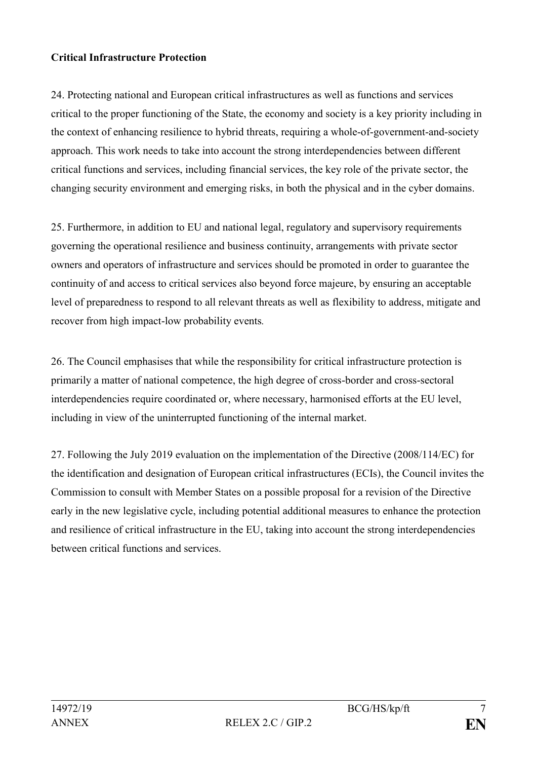## **Critical Infrastructure Protection**

24. Protecting national and European critical infrastructures as well as functions and services critical to the proper functioning of the State, the economy and society is a key priority including in the context of enhancing resilience to hybrid threats, requiring a whole-of-government-and-society approach. This work needs to take into account the strong interdependencies between different critical functions and services, including financial services, the key role of the private sector, the changing security environment and emerging risks, in both the physical and in the cyber domains.

25. Furthermore, in addition to EU and national legal, regulatory and supervisory requirements governing the operational resilience and business continuity, arrangements with private sector owners and operators of infrastructure and services should be promoted in order to guarantee the continuity of and access to critical services also beyond force majeure, by ensuring an acceptable level of preparedness to respond to all relevant threats as well as flexibility to address, mitigate and recover from high impact-low probability events*.* 

26. The Council emphasises that while the responsibility for critical infrastructure protection is primarily a matter of national competence, the high degree of cross-border and cross-sectoral interdependencies require coordinated or, where necessary, harmonised efforts at the EU level, including in view of the uninterrupted functioning of the internal market.

27. Following the July 2019 evaluation on the implementation of the Directive (2008/114/EC) for the identification and designation of European critical infrastructures (ECIs), the Council invites the Commission to consult with Member States on a possible proposal for a revision of the Directive early in the new legislative cycle, including potential additional measures to enhance the protection and resilience of critical infrastructure in the EU, taking into account the strong interdependencies between critical functions and services.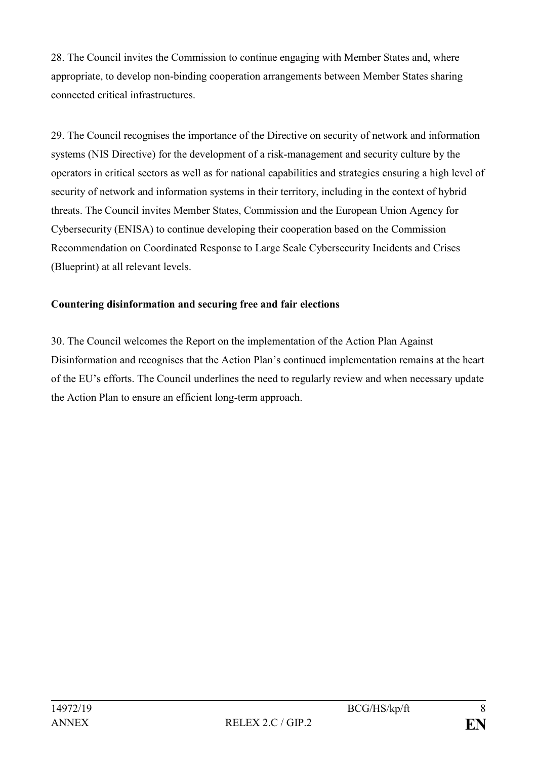28. The Council invites the Commission to continue engaging with Member States and, where appropriate, to develop non-binding cooperation arrangements between Member States sharing connected critical infrastructures.

29. The Council recognises the importance of the Directive on security of network and information systems (NIS Directive) for the development of a risk-management and security culture by the operators in critical sectors as well as for national capabilities and strategies ensuring a high level of security of network and information systems in their territory, including in the context of hybrid threats. The Council invites Member States, Commission and the European Union Agency for Cybersecurity (ENISA) to continue developing their cooperation based on the Commission Recommendation on Coordinated Response to Large Scale Cybersecurity Incidents and Crises (Blueprint) at all relevant levels.

# **Countering disinformation and securing free and fair elections**

30. The Council welcomes the Report on the implementation of the Action Plan Against Disinformation and recognises that the Action Plan's continued implementation remains at the heart of the EU's efforts. The Council underlines the need to regularly review and when necessary update the Action Plan to ensure an efficient long-term approach.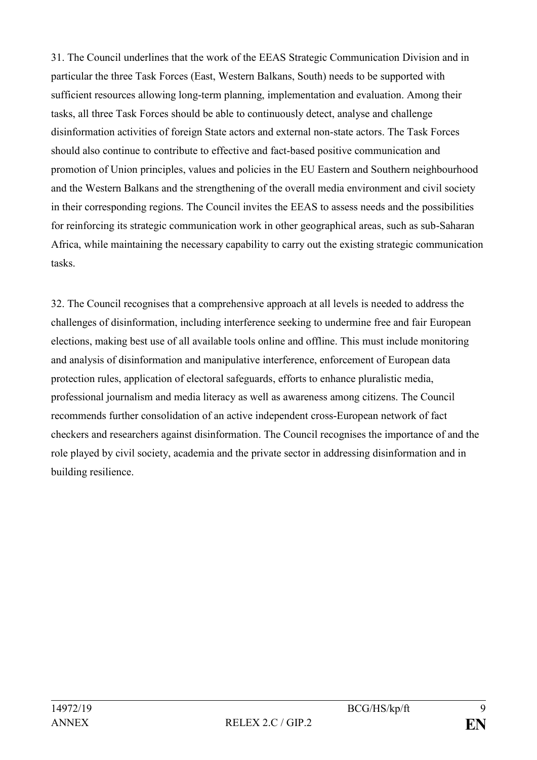31. The Council underlines that the work of the EEAS Strategic Communication Division and in particular the three Task Forces (East, Western Balkans, South) needs to be supported with sufficient resources allowing long-term planning, implementation and evaluation. Among their tasks, all three Task Forces should be able to continuously detect, analyse and challenge disinformation activities of foreign State actors and external non-state actors. The Task Forces should also continue to contribute to effective and fact-based positive communication and promotion of Union principles, values and policies in the EU Eastern and Southern neighbourhood and the Western Balkans and the strengthening of the overall media environment and civil society in their corresponding regions. The Council invites the EEAS to assess needs and the possibilities for reinforcing its strategic communication work in other geographical areas, such as sub-Saharan Africa, while maintaining the necessary capability to carry out the existing strategic communication tasks.

32. The Council recognises that a comprehensive approach at all levels is needed to address the challenges of disinformation, including interference seeking to undermine free and fair European elections, making best use of all available tools online and offline. This must include monitoring and analysis of disinformation and manipulative interference, enforcement of European data protection rules, application of electoral safeguards, efforts to enhance pluralistic media, professional journalism and media literacy as well as awareness among citizens. The Council recommends further consolidation of an active independent cross-European network of fact checkers and researchers against disinformation. The Council recognises the importance of and the role played by civil society, academia and the private sector in addressing disinformation and in building resilience.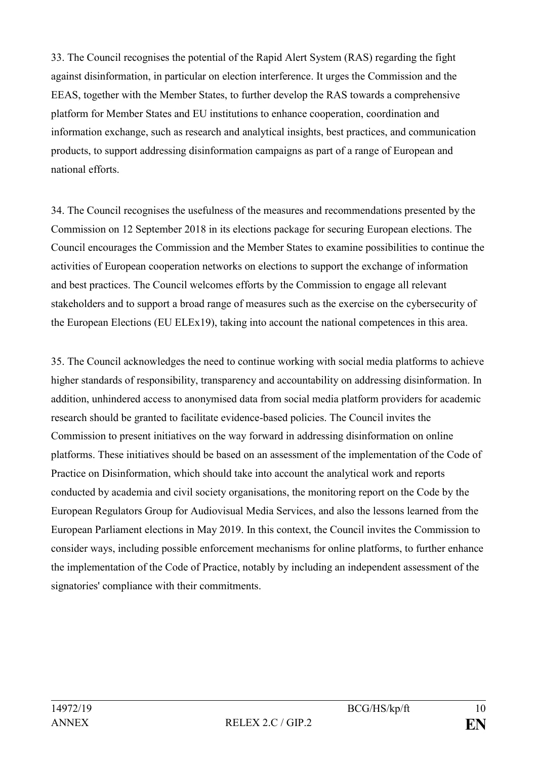33. The Council recognises the potential of the Rapid Alert System (RAS) regarding the fight against disinformation, in particular on election interference. It urges the Commission and the EEAS, together with the Member States, to further develop the RAS towards a comprehensive platform for Member States and EU institutions to enhance cooperation, coordination and information exchange, such as research and analytical insights, best practices, and communication products, to support addressing disinformation campaigns as part of a range of European and national efforts.

34. The Council recognises the usefulness of the measures and recommendations presented by the Commission on 12 September 2018 in its elections package for securing European elections. The Council encourages the Commission and the Member States to examine possibilities to continue the activities of European cooperation networks on elections to support the exchange of information and best practices. The Council welcomes efforts by the Commission to engage all relevant stakeholders and to support a broad range of measures such as the exercise on the cybersecurity of the European Elections (EU ELEx19), taking into account the national competences in this area.

35. The Council acknowledges the need to continue working with social media platforms to achieve higher standards of responsibility, transparency and accountability on addressing disinformation. In addition, unhindered access to anonymised data from social media platform providers for academic research should be granted to facilitate evidence-based policies. The Council invites the Commission to present initiatives on the way forward in addressing disinformation on online platforms. These initiatives should be based on an assessment of the implementation of the Code of Practice on Disinformation, which should take into account the analytical work and reports conducted by academia and civil society organisations, the monitoring report on the Code by the European Regulators Group for Audiovisual Media Services, and also the lessons learned from the European Parliament elections in May 2019. In this context, the Council invites the Commission to consider ways, including possible enforcement mechanisms for online platforms, to further enhance the implementation of the Code of Practice, notably by including an independent assessment of the signatories' compliance with their commitments.